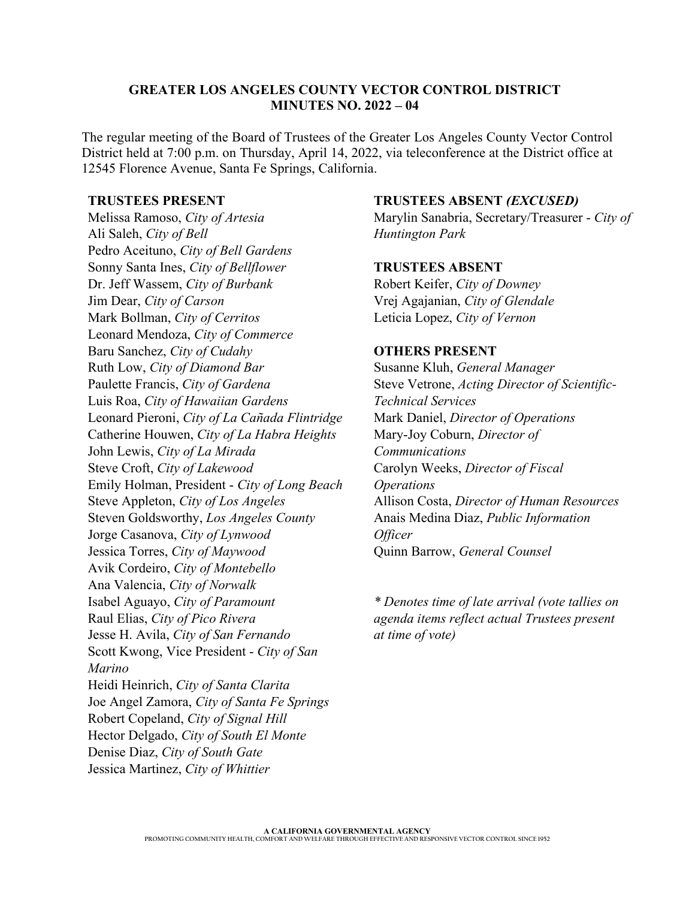#### **GREATER LOS ANGELES COUNTY VECTOR CONTROL DISTRICT MINUTES NO. 2022 – 04**

The regular meeting of the Board of Trustees of the Greater Los Angeles County Vector Control District held at 7:00 p.m. on Thursday, April 14, 2022, via teleconference at the District office at 12545 Florence Avenue, Santa Fe Springs, California.

#### **TRUSTEES PRESENT**

Melissa Ramoso, *City of Artesia* Ali Saleh, *City of Bell* Pedro Aceituno, *City of Bell Gardens* Sonny Santa Ines, *City of Bellflower* Dr. Jeff Wassem, *City of Burbank* Jim Dear, *City of Carson* Mark Bollman, *City of Cerritos* Leonard Mendoza, *City of Commerce* Baru Sanchez, *City of Cudahy* Ruth Low, *City of Diamond Bar* Paulette Francis, *City of Gardena* Luis Roa, *City of Hawaiian Gardens* Leonard Pieroni, *City of La Cañada Flintridge* Catherine Houwen, *City of La Habra Heights* John Lewis, *City of La Mirada* Steve Croft, *City of Lakewood* Emily Holman, President - *City of Long Beach* Steve Appleton, *City of Los Angeles* Steven Goldsworthy, *Los Angeles County* Jorge Casanova, *City of Lynwood* Jessica Torres, *City of Maywood* Avik Cordeiro, *City of Montebello* Ana Valencia, *City of Norwalk*  Isabel Aguayo, *City of Paramount* Raul Elias, *City of Pico Rivera* Jesse H. Avila, *City of San Fernando* Scott Kwong, Vice President - *City of San Marino* Heidi Heinrich, *City of Santa Clarita* Joe Angel Zamora, *City of Santa Fe Springs*  Robert Copeland, *City of Signal Hill* Hector Delgado, *City of South El Monte* Denise Diaz, *City of South Gate* Jessica Martinez, *City of Whittier*

### **TRUSTEES ABSENT** *(EXCUSED)*

Marylin Sanabria, Secretary/Treasurer - *City of Huntington Park*

## **TRUSTEES ABSENT**

Robert Keifer, *City of Downey* Vrej Agajanian, *City of Glendale* Leticia Lopez, *City of Vernon*

## **OTHERS PRESENT**

Susanne Kluh, *General Manager*  Steve Vetrone, *Acting Director of Scientific-Technical Services* Mark Daniel, *Director of Operations* Mary-Joy Coburn, *Director of Communications* Carolyn Weeks, *Director of Fiscal Operations* Allison Costa, *Director of Human Resources* Anais Medina Diaz, *Public Information Officer* Quinn Barrow, *General Counsel*

*\* Denotes time of late arrival (vote tallies on agenda items reflect actual Trustees present at time of vote)*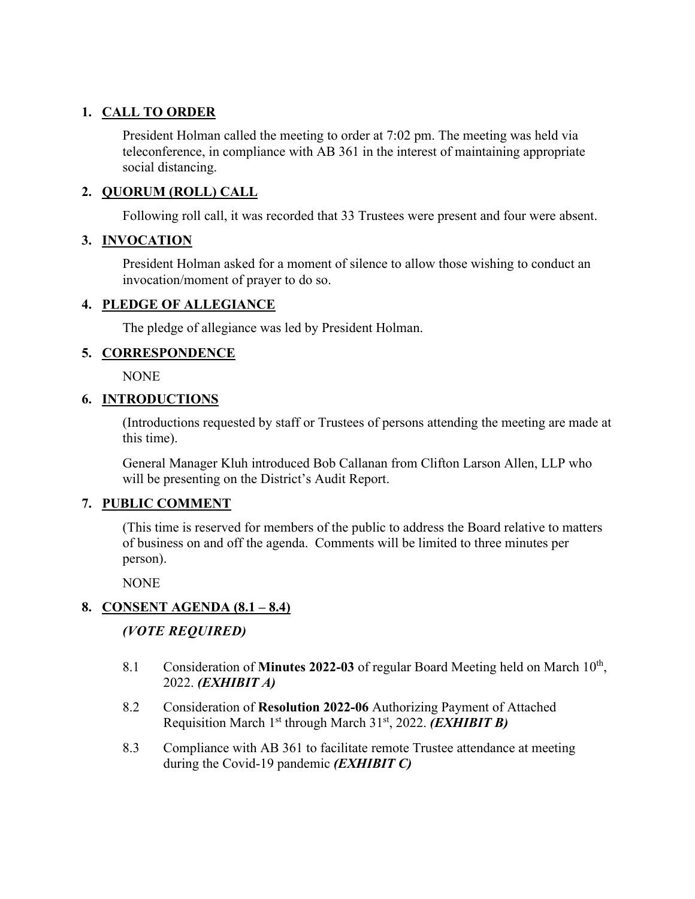# **1. CALL TO ORDER**

President Holman called the meeting to order at 7:02 pm. The meeting was held via teleconference, in compliance with AB 361 in the interest of maintaining appropriate social distancing.

## **2. QUORUM (ROLL) CALL**

Following roll call, it was recorded that 33 Trustees were present and four were absent.

## **3. INVOCATION**

President Holman asked for a moment of silence to allow those wishing to conduct an invocation/moment of prayer to do so.

## **4. PLEDGE OF ALLEGIANCE**

The pledge of allegiance was led by President Holman.

## **5. CORRESPONDENCE**

NONE

## **6. INTRODUCTIONS**

(Introductions requested by staff or Trustees of persons attending the meeting are made at this time).

General Manager Kluh introduced Bob Callanan from Clifton Larson Allen, LLP who will be presenting on the District's Audit Report.

#### **7. PUBLIC COMMENT**

(This time is reserved for members of the public to address the Board relative to matters of business on and off the agenda. Comments will be limited to three minutes per person).

**NONE** 

## **8. CONSENT AGENDA (8.1 – 8.4)**

## *(VOTE REQUIRED)*

- 8.1 Consideration of **Minutes 2022-03** of regular Board Meeting held on March 10<sup>th</sup>, 2022. *(EXHIBIT A)*
- 8.2 Consideration of **Resolution 2022-06** Authorizing Payment of Attached Requisition March 1st through March 31st, 2022. *(EXHIBIT B)*
- 8.3 Compliance with AB 361 to facilitate remote Trustee attendance at meeting during the Covid-19 pandemic *(EXHIBIT C)*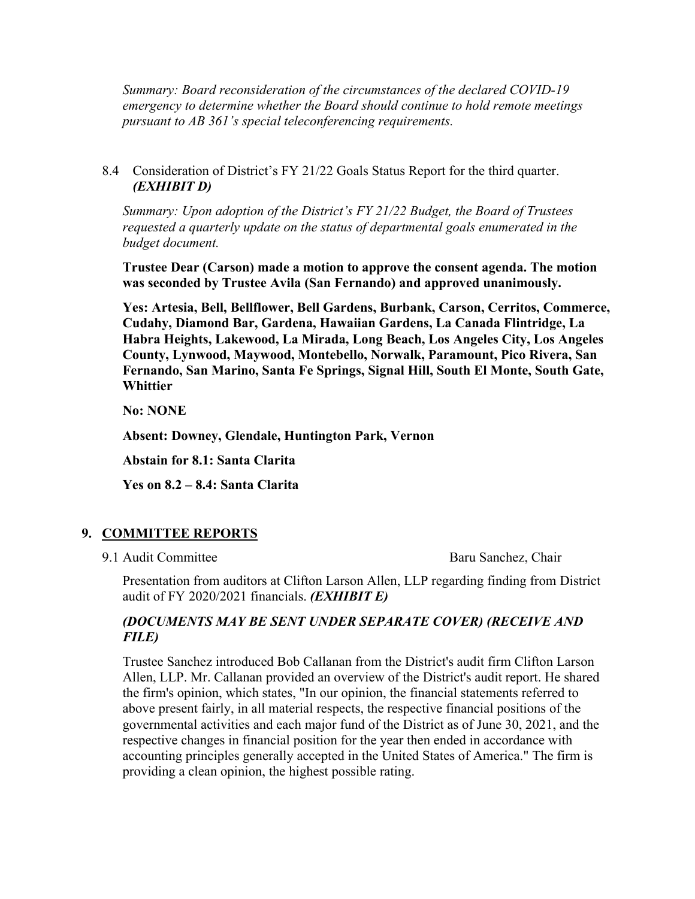*Summary: Board reconsideration of the circumstances of the declared COVID-19 emergency to determine whether the Board should continue to hold remote meetings pursuant to AB 361's special teleconferencing requirements.* 

8.4 Consideration of District's FY 21/22 Goals Status Report for the third quarter. *(EXHIBIT D)*

*Summary: Upon adoption of the District's FY 21/22 Budget, the Board of Trustees requested a quarterly update on the status of departmental goals enumerated in the budget document.* 

**Trustee Dear (Carson) made a motion to approve the consent agenda. The motion was seconded by Trustee Avila (San Fernando) and approved unanimously.** 

**Yes: Artesia, Bell, Bellflower, Bell Gardens, Burbank, Carson, Cerritos, Commerce, Cudahy, Diamond Bar, Gardena, Hawaiian Gardens, La Canada Flintridge, La Habra Heights, Lakewood, La Mirada, Long Beach, Los Angeles City, Los Angeles County, Lynwood, Maywood, Montebello, Norwalk, Paramount, Pico Rivera, San Fernando, San Marino, Santa Fe Springs, Signal Hill, South El Monte, South Gate, Whittier**

**No: NONE**

**Absent: Downey, Glendale, Huntington Park, Vernon**

**Abstain for 8.1: Santa Clarita**

**Yes on 8.2 – 8.4: Santa Clarita**

## **9. COMMITTEE REPORTS**

9.1 Audit Committee Baru Sanchez, Chair

Presentation from auditors at Clifton Larson Allen, LLP regarding finding from District audit of FY 2020/2021 financials. *(EXHIBIT E)*

## *(DOCUMENTS MAY BE SENT UNDER SEPARATE COVER) (RECEIVE AND FILE)*

Trustee Sanchez introduced Bob Callanan from the District's audit firm Clifton Larson Allen, LLP. Mr. Callanan provided an overview of the District's audit report. He shared the firm's opinion, which states, "In our opinion, the financial statements referred to above present fairly, in all material respects, the respective financial positions of the governmental activities and each major fund of the District as of June 30, 2021, and the respective changes in financial position for the year then ended in accordance with accounting principles generally accepted in the United States of America." The firm is providing a clean opinion, the highest possible rating.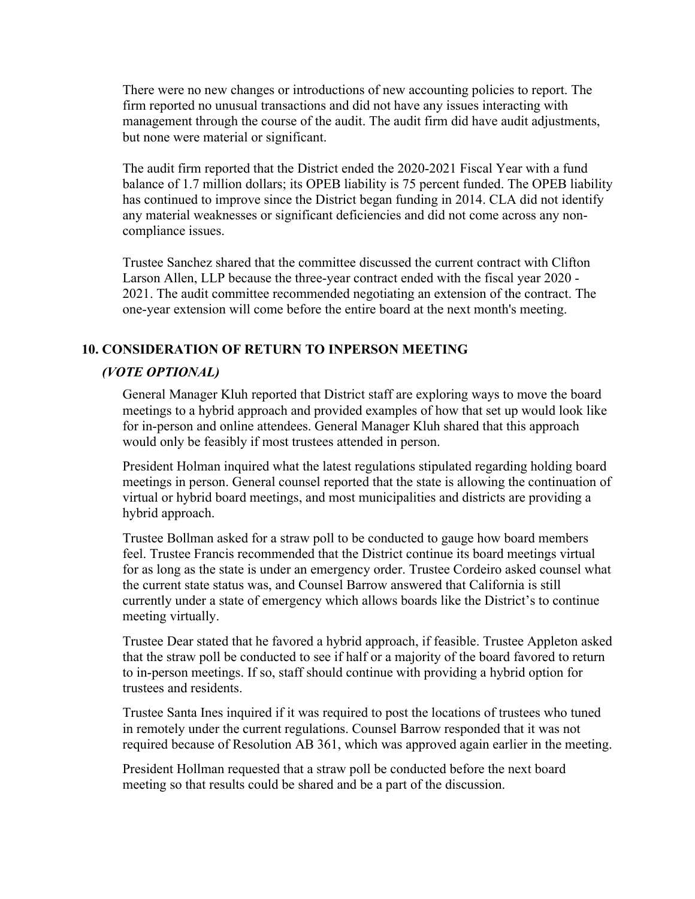There were no new changes or introductions of new accounting policies to report. The firm reported no unusual transactions and did not have any issues interacting with management through the course of the audit. The audit firm did have audit adjustments, but none were material or significant.

The audit firm reported that the District ended the 2020-2021 Fiscal Year with a fund balance of 1.7 million dollars; its OPEB liability is 75 percent funded. The OPEB liability has continued to improve since the District began funding in 2014. CLA did not identify any material weaknesses or significant deficiencies and did not come across any noncompliance issues.

Trustee Sanchez shared that the committee discussed the current contract with Clifton Larson Allen, LLP because the three-year contract ended with the fiscal year 2020 - 2021. The audit committee recommended negotiating an extension of the contract. The one-year extension will come before the entire board at the next month's meeting.

## **10. CONSIDERATION OF RETURN TO INPERSON MEETING**

# *(VOTE OPTIONAL)*

General Manager Kluh reported that District staff are exploring ways to move the board meetings to a hybrid approach and provided examples of how that set up would look like for in-person and online attendees. General Manager Kluh shared that this approach would only be feasibly if most trustees attended in person.

President Holman inquired what the latest regulations stipulated regarding holding board meetings in person. General counsel reported that the state is allowing the continuation of virtual or hybrid board meetings, and most municipalities and districts are providing a hybrid approach.

Trustee Bollman asked for a straw poll to be conducted to gauge how board members feel. Trustee Francis recommended that the District continue its board meetings virtual for as long as the state is under an emergency order. Trustee Cordeiro asked counsel what the current state status was, and Counsel Barrow answered that California is still currently under a state of emergency which allows boards like the District's to continue meeting virtually.

Trustee Dear stated that he favored a hybrid approach, if feasible. Trustee Appleton asked that the straw poll be conducted to see if half or a majority of the board favored to return to in-person meetings. If so, staff should continue with providing a hybrid option for trustees and residents.

Trustee Santa Ines inquired if it was required to post the locations of trustees who tuned in remotely under the current regulations. Counsel Barrow responded that it was not required because of Resolution AB 361, which was approved again earlier in the meeting.

President Hollman requested that a straw poll be conducted before the next board meeting so that results could be shared and be a part of the discussion.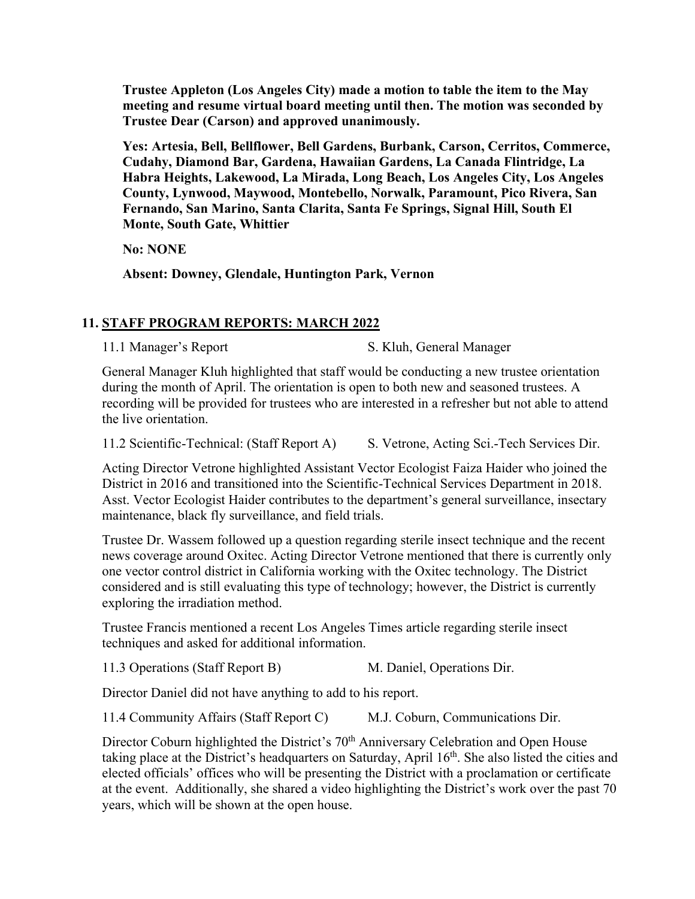**Trustee Appleton (Los Angeles City) made a motion to table the item to the May meeting and resume virtual board meeting until then. The motion was seconded by Trustee Dear (Carson) and approved unanimously.** 

**Yes: Artesia, Bell, Bellflower, Bell Gardens, Burbank, Carson, Cerritos, Commerce, Cudahy, Diamond Bar, Gardena, Hawaiian Gardens, La Canada Flintridge, La Habra Heights, Lakewood, La Mirada, Long Beach, Los Angeles City, Los Angeles County, Lynwood, Maywood, Montebello, Norwalk, Paramount, Pico Rivera, San Fernando, San Marino, Santa Clarita, Santa Fe Springs, Signal Hill, South El Monte, South Gate, Whittier**

**No: NONE**

**Absent: Downey, Glendale, Huntington Park, Vernon**

# **11. STAFF PROGRAM REPORTS: MARCH 2022**

11.1 Manager's Report S. Kluh, General Manager

General Manager Kluh highlighted that staff would be conducting a new trustee orientation during the month of April. The orientation is open to both new and seasoned trustees. A recording will be provided for trustees who are interested in a refresher but not able to attend the live orientation.

11.2 Scientific-Technical: (Staff Report A) S. Vetrone, Acting Sci.-Tech Services Dir.

Acting Director Vetrone highlighted Assistant Vector Ecologist Faiza Haider who joined the District in 2016 and transitioned into the Scientific-Technical Services Department in 2018. Asst. Vector Ecologist Haider contributes to the department's general surveillance, insectary maintenance, black fly surveillance, and field trials.

Trustee Dr. Wassem followed up a question regarding sterile insect technique and the recent news coverage around Oxitec. Acting Director Vetrone mentioned that there is currently only one vector control district in California working with the Oxitec technology. The District considered and is still evaluating this type of technology; however, the District is currently exploring the irradiation method.

Trustee Francis mentioned a recent Los Angeles Times article regarding sterile insect techniques and asked for additional information.

11.3 Operations (Staff Report B) M. Daniel, Operations Dir.

Director Daniel did not have anything to add to his report.

11.4 Community Affairs (Staff Report C) M.J. Coburn, Communications Dir.

Director Coburn highlighted the District's 70<sup>th</sup> Anniversary Celebration and Open House taking place at the District's headquarters on Saturday, April  $16<sup>th</sup>$ . She also listed the cities and elected officials' offices who will be presenting the District with a proclamation or certificate at the event. Additionally, she shared a video highlighting the District's work over the past 70 years, which will be shown at the open house.